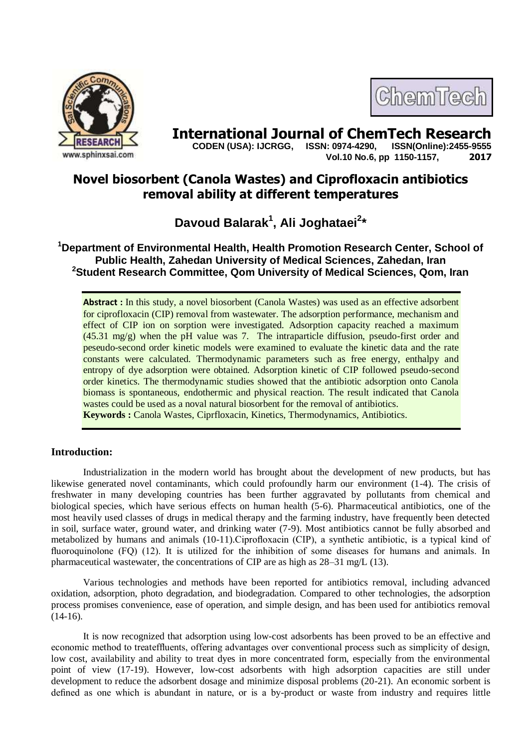

# **International Journal of ChemTech Research**

 **CODEN (USA): IJCRGG, ISSN: 0974-4290, ISSN(Online):2455-9555 Vol.10 No.6, pp 1150-1157, 2017**

ChemTech

## **Novel biosorbent (Canola Wastes) and Ciprofloxacin antibiotics removal ability at different temperatures**

**Davoud Balarak<sup>1</sup> , Ali Joghataei<sup>2</sup> \***

**<sup>1</sup>Department of Environmental Health, Health Promotion Research Center, School of Public Health, Zahedan University of Medical Sciences, Zahedan, Iran <sup>2</sup>Student Research Committee, Qom University of Medical Sciences, Qom, Iran**

Abstract : In this study, a novel biosorbent (Canola Wastes) was used as an effective adsorbent for ciprofloxacin (CIP) removal from wastewater. The adsorption performance, mechanism and effect of CIP ion on sorption were investigated. Adsorption capacity reached a maximum (45.31 mg/g) when the pH value was 7. The intraparticle diffusion, pseudo-first order and peseudo-second order kinetic models were examined to evaluate the kinetic data and the rate constants were calculated. Thermodynamic parameters such as free energy, enthalpy and entropy of dye adsorption were obtained. Adsorption kinetic of CIP followed pseudo-second order kinetics. The thermodynamic studies showed that the antibiotic adsorption onto Canola biomass is spontaneous, endothermic and physical reaction. The result indicated that Canola wastes could be used as a noval natural biosorbent for the removal of antibiotics. **Keywords :** Canola Wastes, Ciprfloxacin, Kinetics, Thermodynamics, Antibiotics.

### **Introduction:**

Industrialization in the modern world has brought about the development of new products, but has likewise generated novel contaminants, which could profoundly harm our environment (1-4). The crisis of freshwater in many developing countries has been further aggravated by pollutants from chemical and biological species, which have serious effects on human health (5-6). Pharmaceutical antibiotics, one of the most heavily used classes of drugs in medical therapy and the farming industry, have frequently been detected in soil, surface water, ground water, and drinking water (7-9). Most antibiotics cannot be fully absorbed and metabolized by humans and animals (10-11).Ciprofloxacin (CIP), a synthetic antibiotic, is a typical kind of fluoroquinolone (FQ) (12). It is utilized for the inhibition of some diseases for humans and animals. In pharmaceutical wastewater, the concentrations of CIP are as high as 28–31 mg/L (13).

Various technologies and methods have been reported for antibiotics removal, including advanced oxidation, adsorption, photo degradation, and biodegradation. Compared to other technologies, the adsorption process promises convenience, ease of operation, and simple design, and has been used for antibiotics removal  $(14-16)$ .

It is now recognized that adsorption using low-cost adsorbents has been proved to be an effective and economic method to treateffluents, offering advantages over conventional process such as simplicity of design, low cost, availability and ability to treat dyes in more concentrated form, especially from the environmental point of view (17-19). However, low-cost adsorbents with high adsorption capacities are still under development to reduce the adsorbent dosage and minimize disposal problems (20-21). An economic sorbent is defined as one which is abundant in nature, or is a by-product or waste from industry and requires little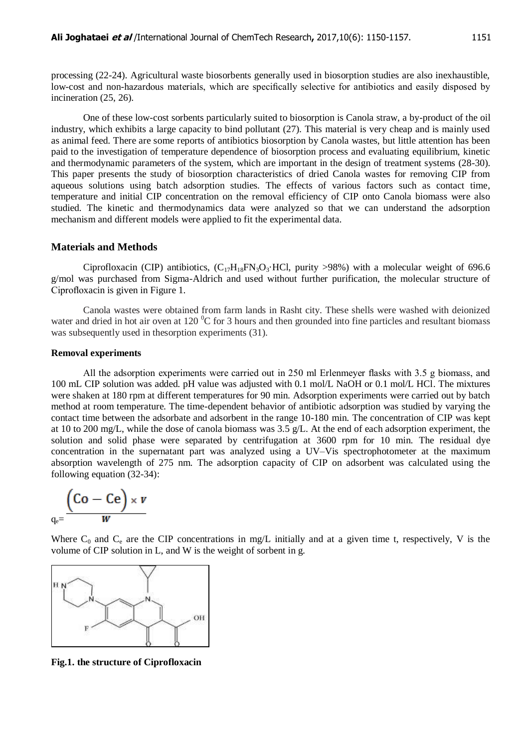processing (22-24). Agricultural waste biosorbents generally used in biosorption studies are also inexhaustible, low-cost and non-hazardous materials, which are specifically selective for antibiotics and easily disposed by incineration (25, 26).

One of these low-cost sorbents particularly suited to biosorption is Canola straw, a by-product of the oil industry, which exhibits a large capacity to bind pollutant (27). This material is very cheap and is mainly used as animal feed. There are some reports of antibiotics biosorption by Canola wastes, but little attention has been paid to the investigation of temperature dependence of biosorption process and evaluating equilibrium, kinetic and thermodynamic parameters of the system, which are important in the design of treatment systems (28-30). This paper presents the study of biosorption characteristics of dried Canola wastes for removing CIP from aqueous solutions using batch adsorption studies. The effects of various factors such as contact time, temperature and initial CIP concentration on the removal efficiency of CIP onto Canola biomass were also studied. The kinetic and thermodynamics data were analyzed so that we can understand the adsorption mechanism and different models were applied to fit the experimental data.

#### **Materials and Methods**

Ciprofloxacin (CIP) antibiotics,  $(C_{17}H_{18}FN_3O_3 \cdot HCl$ , purity >98%) with a molecular weight of 696.6 g/mol was purchased from Sigma-Aldrich and used without further purification, the molecular structure of Ciprofloxacin is given in Figure 1.

Canola wastes were obtained from farm lands in Rasht city. These shells were washed with deionized water and dried in hot air oven at 120  $^{0}C$  for 3 hours and then grounded into fine particles and resultant biomass was subsequently used in thesorption experiments (31).

#### **Removal experiments**

All the adsorption experiments were carried out in 250 ml Erlenmeyer flasks with 3.5 g biomass, and 100 mL CIP solution was added. pH value was adjusted with 0.1 mol/L NaOH or 0.1 mol/L HCl. The mixtures were shaken at 180 rpm at different temperatures for 90 min. Adsorption experiments were carried out by batch method at room temperature. The time-dependent behavior of antibiotic adsorption was studied by varying the contact time between the adsorbate and adsorbent in the range 10-180 min. The concentration of CIP was kept at 10 to 200 mg/L, while the dose of canola biomass was 3.5 g/L. At the end of each adsorption experiment, the solution and solid phase were separated by centrifugation at 3600 rpm for 10 min. The residual dye concentration in the supernatant part was analyzed using a UV–Vis spectrophotometer at the maximum absorption wavelength of 275 nm. The adsorption capacity of CIP on adsorbent was calculated using the following equation (32-34):

$$
\underset{q_e=}{\underbrace{\left(\text{Co} - \text{Ce}\right)} \times v}
$$

Where  $C_0$  and  $C_e$  are the CIP concentrations in mg/L initially and at a given time t, respectively, V is the volume of CIP solution in L, and W is the weight of sorbent in g.



**Fig.1. the structure of Ciprofloxacin**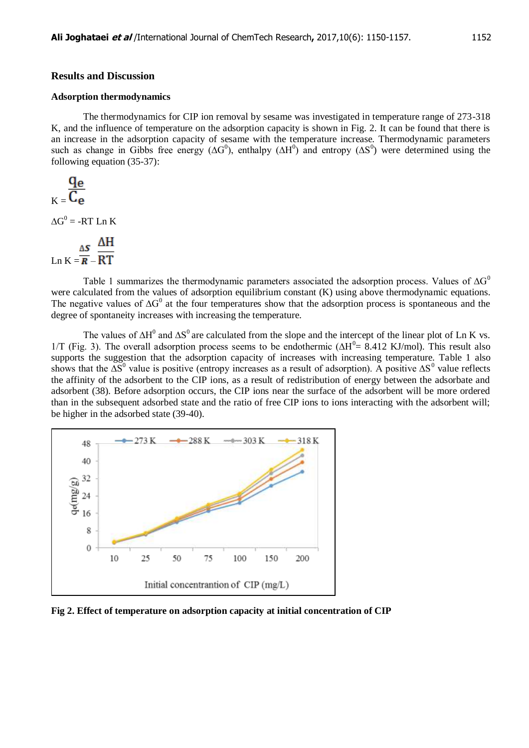#### **Results and Discussion**

#### **Adsorption thermodynamics**

The thermodynamics for CIP ion removal by sesame was investigated in temperature range of 273-318 K, and the influence of temperature on the adsorption capacity is shown in Fig. 2. It can be found that there is an increase in the adsorption capacity of sesame with the temperature increase. Thermodynamic parameters such as change in Gibbs free energy ( $\Delta G^0$ ), enthalpy ( $\Delta H^0$ ) and entropy ( $\Delta S^0$ ) were determined using the following equation (35-37):

$$
K = \frac{q_e}{C_e}
$$

 $\Delta G^0$  = -RT Ln K

$$
\ln K = \frac{\Delta S}{R} - \frac{\Delta H}{RT}
$$

Table 1 summarizes the thermodynamic parameters associated the adsorption process. Values of  $\Delta G^0$ were calculated from the values of adsorption equilibrium constant (K) using above thermodynamic equations. The negative values of  $\Delta G^0$  at the four temperatures show that the adsorption process is spontaneous and the degree of spontaneity increases with increasing the temperature.

The values of  $\Delta H^0$  and  $\Delta S^0$  are calculated from the slope and the intercept of the linear plot of Ln K vs. 1/T (Fig. 3). The overall adsorption process seems to be endothermic ( $\Delta H^0 = 8.412$  KJ/mol). This result also supports the suggestion that the adsorption capacity of increases with increasing temperature. Table 1 also shows that the  $\Delta S^0$  value is positive (entropy increases as a result of adsorption). A positive  $\Delta S^0$  value reflects the affinity of the adsorbent to the CIP ions, as a result of redistribution of energy between the adsorbate and adsorbent (38). Before adsorption occurs, the CIP ions near the surface of the adsorbent will be more ordered than in the subsequent adsorbed state and the ratio of free CIP ions to ions interacting with the adsorbent will; be higher in the adsorbed state (39-40).



**Fig 2. Effect of temperature on adsorption capacity at initial concentration of CIP**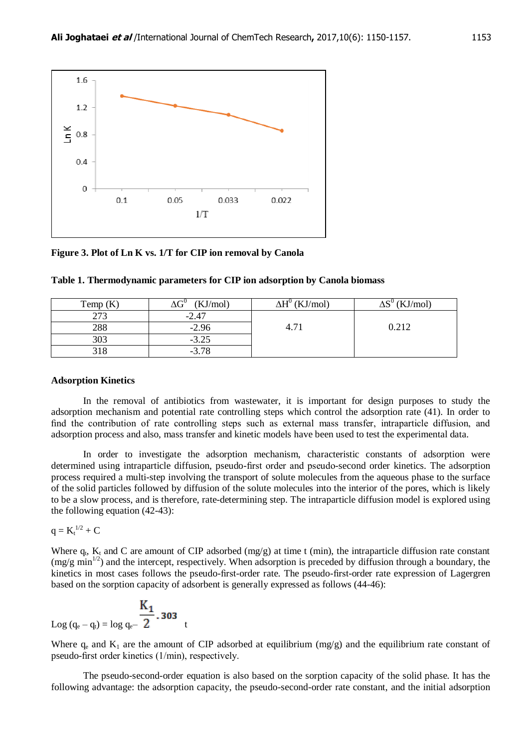

**Figure 3. Plot of Ln K vs. 1/T for CIP ion removal by Canola**

| Temp $(K)$ | (KJ/mol) | $\Delta H^0$ (KJ/mol) | (KJ/mol)<br>៱ຕ∪ |
|------------|----------|-----------------------|-----------------|
| 273        | $-2.47$  |                       |                 |
| 288        | $-2.96$  | 4.71                  | 0.212           |
| 303        | $-3.25$  |                       |                 |
|            | $-3.78$  |                       |                 |

| Table 1. Thermodynamic parameters for CIP ion adsorption by Canola biomass |  |  |  |  |  |  |  |
|----------------------------------------------------------------------------|--|--|--|--|--|--|--|
|----------------------------------------------------------------------------|--|--|--|--|--|--|--|

#### **Adsorption Kinetics**

In the removal of antibiotics from wastewater, it is important for design purposes to study the adsorption mechanism and potential rate controlling steps which control the adsorption rate (41). In order to find the contribution of rate controlling steps such as external mass transfer, intraparticle diffusion, and adsorption process and also, mass transfer and kinetic models have been used to test the experimental data.

In order to investigate the adsorption mechanism, characteristic constants of adsorption were determined using intraparticle diffusion, pseudo-first order and pseudo-second order kinetics. The adsorption process required a multi-step involving the transport of solute molecules from the aqueous phase to the surface of the solid particles followed by diffusion of the solute molecules into the interior of the pores, which is likely to be a slow process, and is therefore, rate-determining step. The intraparticle diffusion model is explored using the following equation (42-43):

$$
q = K_t^{\,1/2} + C
$$

Where  $q_t$ ,  $K_t$  and C are amount of CIP adsorbed (mg/g) at time t (min), the intraparticle diffusion rate constant  $(\text{mg/g min}^{1/2})$  and the intercept, respectively. When adsorption is preceded by diffusion through a boundary, the kinetics in most cases follows the pseudo-first-order rate. The pseudo-first-order rate expression of Lagergren based on the sorption capacity of adsorbent is generally expressed as follows (44-46):

Log 
$$
(q_e - q_i) = \log q_e - \frac{K_1}{2}
$$
. 303 t

Where  $q_e$  and  $K_1$  are the amount of CIP adsorbed at equilibrium (mg/g) and the equilibrium rate constant of pseudo-first order kinetics (1/min), respectively.

The pseudo-second-order equation is also based on the sorption capacity of the solid phase. It has the following advantage: the adsorption capacity, the pseudo-second-order rate constant, and the initial adsorption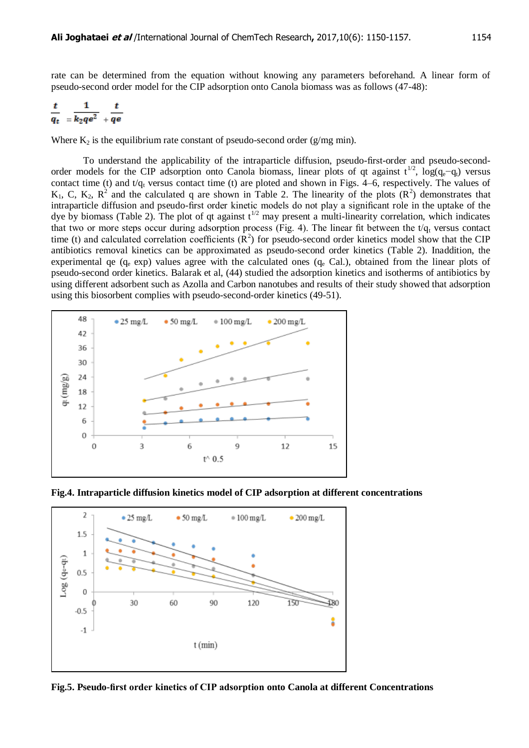rate can be determined from the equation without knowing any parameters beforehand. A linear form of pseudo-second order model for the CIP adsorption onto Canola biomass was as follows (47-48):

$$
\frac{t}{q_t} = \frac{1}{k_2 q e^2} + \frac{t}{q e}
$$

Where  $K_2$  is the equilibrium rate constant of pseudo-second order (g/mg min).

To understand the applicability of the intraparticle diffusion, pseudo-first-order and pseudo-secondorder models for the CIP adsorption onto Canola biomass, linear plots of qt against t<sup>1/2</sup>, log(q<sub>e</sub>−q<sub>t</sub>) versus contact time (t) and t/ $q_t$  versus contact time (t) are ploted and shown in Figs. 4–6, respectively. The values of  $K_1$ , C,  $K_2$ ,  $R^2$  and the calculated q are shown in Table 2. The linearity of the plots  $(R^2)$  demonstrates that intraparticle diffusion and pseudo-first order kinetic models do not play a significant role in the uptake of the dye by biomass (Table 2). The plot of qt against  $t^{1/2}$  may present a multi-linearity correlation, which indicates that two or more steps occur during adsorption process (Fig. 4). The linear fit between the  $t/q_t$  versus contact time (t) and calculated correlation coefficients  $(R^2)$  for pseudo-second order kinetics model show that the CIP antibiotics removal kinetics can be approximated as pseudo-second order kinetics (Table 2). Inaddition, the experimental qe (q<sub>e</sub> exp) values agree with the calculated ones (q<sub>e</sub> Cal.), obtained from the linear plots of pseudo-second order kinetics. Balarak et al, (44) studied the adsorption kinetics and isotherms of antibiotics by using different adsorbent such as Azolla and Carbon nanotubes and results of their study showed that adsorption using this biosorbent complies with pseudo-second-order kinetics (49-51).



**Fig.4. Intraparticle diffusion kinetics model of CIP adsorption at different concentrations**



**Fig.5. Pseudo-first order kinetics of CIP adsorption onto Canola at different Concentrations**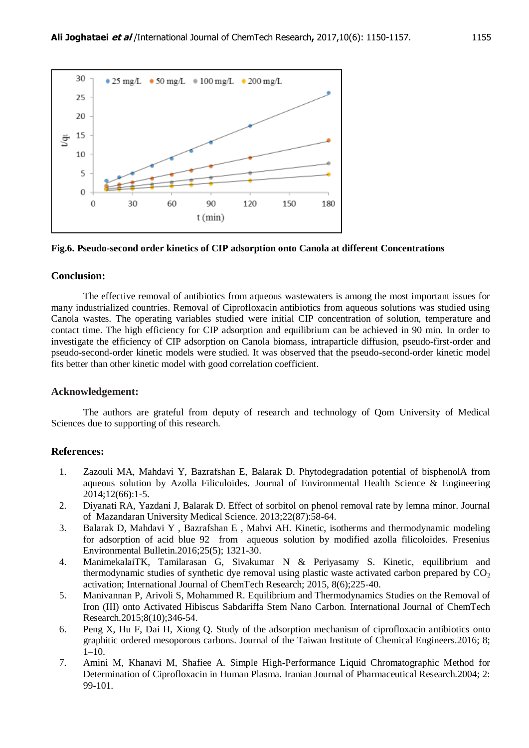

#### **Fig.6. Pseudo-second order kinetics of CIP adsorption onto Canola at different Concentrations**

#### **Conclusion:**

The effective removal of antibiotics from aqueous wastewaters is among the most important issues for many industrialized countries. Removal of Ciprofloxacin antibiotics from aqueous solutions was studied using Canola wastes. The operating variables studied were initial CIP concentration of solution, temperature and contact time. The high efficiency for CIP adsorption and equilibrium can be achieved in 90 min. In order to investigate the efficiency of CIP adsorption on Canola biomass, intraparticle diffusion, pseudo-first-order and pseudo-second-order kinetic models were studied. It was observed that the pseudo-second-order kinetic model fits better than other kinetic model with good correlation coefficient.

#### **Acknowledgement:**

The authors are grateful from deputy of research and technology of Qom University of Medical Sciences due to supporting of this research.

#### **References:**

- 1. Zazouli MA, Mahdavi Y, Bazrafshan E, Balarak D. Phytodegradation potential of bisphenolA from aqueous solution by Azolla Filiculoides. Journal of Environmental Health Science & Engineering 2014;12(66):1-5.
- 2. Diyanati RA, Yazdani J, Balarak D. Effect of sorbitol on phenol removal rate by lemna minor. Journal of Mazandaran University Medical Science. 2013;22(87):58-64.
- 3. Balarak D, Mahdavi Y , Bazrafshan E , Mahvi AH. Kinetic, isotherms and thermodynamic modeling for adsorption of acid blue 92 from aqueous solution by modified azolla filicoloides. Fresenius Environmental Bulletin.2016;25(5); 1321-30.
- 4. ManimekalaiTK, Tamilarasan G, Sivakumar N & Periyasamy S. Kinetic, equilibrium and thermodynamic studies of synthetic dye removal using plastic waste activated carbon prepared by  $CO<sub>2</sub>$ activation; International Journal of ChemTech Research; 2015, 8(6);225-40.
- 5. Manivannan P, Arivoli S, Mohammed R. Equilibrium and Thermodynamics Studies on the Removal of Iron (III) onto Activated Hibiscus Sabdariffa Stem Nano Carbon. International Journal of ChemTech Research.2015;8(10);346-54.
- 6. Peng X, Hu F, Dai H, Xiong Q. Study of the adsorption mechanism of ciprofloxacin antibiotics onto graphitic ordered mesoporous carbons. Journal of the Taiwan Institute of Chemical Engineers.2016; 8;  $1-10.$
- 7. Amini M, Khanavi M, Shafiee A. Simple High-Performance Liquid Chromatographic Method for Determination of Ciprofloxacin in Human Plasma. Iranian Journal of Pharmaceutical Research.2004; 2: 99-101.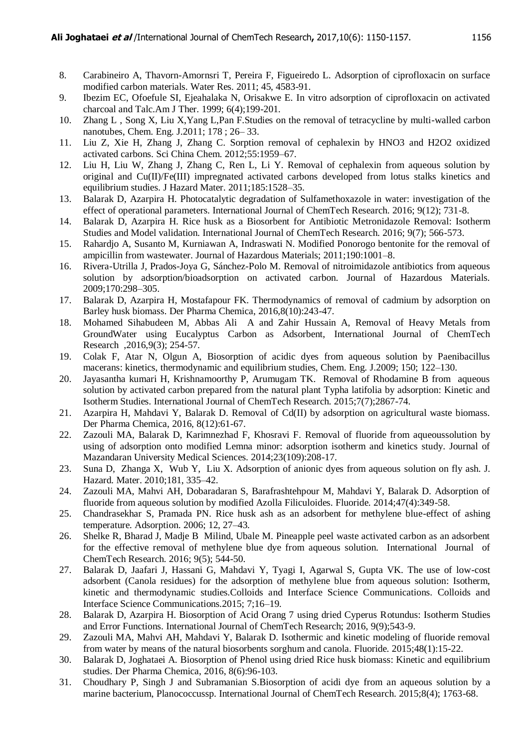- 8. Carabineiro A, Thavorn-Amornsri T, Pereira F, Figueiredo L. Adsorption of ciprofloxacin on surface modified carbon materials. Water Res. 2011; 45, 4583-91.
- 9. Ibezim EC, Ofoefule SI, Ejeahalaka N, Orisakwe E. In vitro adsorption of ciprofloxacin on activated charcoal and Talc.Am J Ther. 1999; 6(4);199-201.
- 10. Zhang L , Song X, Liu X,Yang L,Pan F.Studies on the removal of tetracycline by multi-walled carbon nanotubes, Chem. Eng. J.2011; 178 ; 26– 33.
- 11. Liu Z, Xie H, Zhang J, Zhang C. Sorption removal of cephalexin by HNO3 and H2O2 oxidized activated carbons. Sci China Chem. 2012;55:1959–67.
- 12. Liu H, Liu W, Zhang J, Zhang C, Ren L, Li Y. Removal of cephalexin from aqueous solution by original and Cu(II)/Fe(III) impregnated activated carbons developed from lotus stalks kinetics and equilibrium studies. J Hazard Mater. 2011;185:1528–35.
- 13. Balarak D, Azarpira H. Photocatalytic degradation of Sulfamethoxazole in water: investigation of the effect of operational parameters. International Journal of ChemTech Research. 2016; 9(12); 731-8.
- 14. Balarak D, Azarpira H. Rice husk as a Biosorbent for Antibiotic Metronidazole Removal: Isotherm Studies and Model validation. International Journal of ChemTech Research. 2016; 9(7); 566-573.
- 15. Rahardjo A, Susanto M, Kurniawan A, Indraswati N. Modified Ponorogo bentonite for the removal of ampicillin from wastewater. Journal of Hazardous Materials; 2011;190:1001–8.
- 16. Rivera-Utrilla J, Prados-Joya G, Sánchez-Polo M. Removal of nitroimidazole antibiotics from aqueous solution by adsorption/bioadsorption on activated carbon. Journal of Hazardous Materials. 2009;170:298–305.
- 17. Balarak D, Azarpira H, Mostafapour FK. Thermodynamics of removal of cadmium by adsorption on Barley husk biomass. Der Pharma Chemica, 2016,8(10):243-47.
- 18. Mohamed Sihabudeen M, Abbas Ali A and Zahir Hussain A, Removal of Heavy Metals from GroundWater using Eucalyptus Carbon as Adsorbent, International Journal of ChemTech Research ,2016,9(3); 254-57.
- 19. Colak F, Atar N, Olgun A, Biosorption of acidic dyes from aqueous solution by Paenibacillus macerans: kinetics, thermodynamic and equilibrium studies, Chem. Eng. J.2009; 150; 122–130.
- 20. Jayasantha kumari H, Krishnamoorthy P, Arumugam TK. Removal of Rhodamine B from aqueous solution by activated carbon prepared from the natural plant Typha latifolia by adsorption: Kinetic and Isotherm Studies. International Journal of ChemTech Research. 2015;7(7);2867-74.
- 21. Azarpira H, Mahdavi Y, Balarak D. Removal of Cd(II) by adsorption on agricultural waste biomass. Der Pharma Chemica, 2016, 8(12):61-67.
- 22. Zazouli MA, Balarak D, Karimnezhad F, Khosravi F. Removal of fluoride from aqueoussolution by using of adsorption onto modified Lemna minor: adsorption isotherm and kinetics study. Journal of Mazandaran University Medical Sciences. 2014;23(109):208-17.
- 23. Suna D, Zhanga X, Wub Y, Liu X. Adsorption of anionic dyes from aqueous solution on fly ash. J. Hazard. Mater. 2010;181, 335–42.
- 24. Zazouli MA, Mahvi AH, Dobaradaran S, Barafrashtehpour M, Mahdavi Y, Balarak D. Adsorption of fluoride from aqueous solution by modified Azolla Filiculoides. Fluoride. 2014;47(4):349-58.
- 25. Chandrasekhar S, Pramada PN. Rice husk ash as an adsorbent for methylene blue-effect of ashing temperature. Adsorption. 2006; 12, 27–43.
- 26. Shelke R, Bharad J, Madje B Milind, Ubale M. Pineapple peel waste activated carbon as an adsorbent for the effective removal of methylene blue dye from aqueous solution. International Journal of ChemTech Research. 2016; 9(5); 544-50.
- 27. Balarak D, Jaafari J, Hassani G, Mahdavi Y, Tyagi I, Agarwal S, Gupta VK. The use of low-cost adsorbent (Canola residues) for the adsorption of methylene blue from aqueous solution: Isotherm, kinetic and thermodynamic studies.Colloids and Interface Science Communications. Colloids and Interface Science Communications.2015; 7;16–19.
- 28. Balarak D, Azarpira H. Biosorption of Acid Orang 7 using dried Cyperus Rotundus: Isotherm Studies and Error Functions. International Journal of ChemTech Research; 2016, 9(9);543-9.
- 29. Zazouli MA, Mahvi AH, Mahdavi Y, Balarak D. Isothermic and kinetic modeling of fluoride removal from water by means of the natural biosorbents sorghum and canola. Fluoride. 2015;48(1):15-22.
- 30. Balarak D, Joghataei A. Biosorption of Phenol using dried Rice husk biomass: Kinetic and equilibrium studies. Der Pharma Chemica, 2016, 8(6):96-103.
- 31. Choudhary P, Singh J and Subramanian S.Biosorption of acidi dye from an aqueous solution by a marine bacterium, Planococcussp. International Journal of ChemTech Research. 2015;8(4); 1763-68.